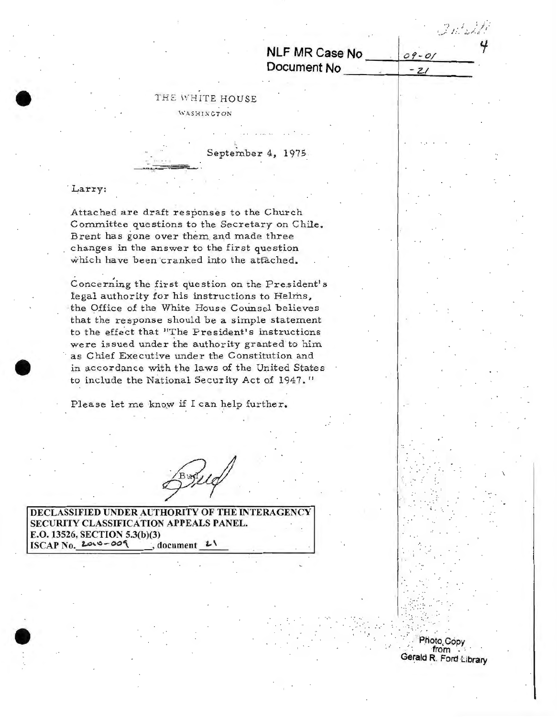NLF MR Case No Document No

 $09 - 01$ 

 $-21$ 

Photo Copy from Gerald R. Ford Library

## THE WHITE HOUSE WASHINGTON

September 4, 1975.

## Larry:

Attached are draft responses to the Church Committee questions to the Secretary on Chile. Brent has gone over them and made three changes in the answer to the first question which have been cranked into the attached.

Concerning the first question on the President's legal authority for his instructions to Helms, the Office of the White House Counsel believes that the response should be a simple statement to the effect that "The President's instructions were issued under the authority granted to him as Chief Executive under the Constitution and in accordance with the laws of the United States to include the National Security Act of 1947."

Please let me know if I can help further.

DECLASSIFIED UNDER AUTHORITY OF THE INTERAGENCY SECURITY CLASSIFICATION APPEALS PANEL. E.O. 13526, SECTION 5.3(b)(3)  $ISCAP$  No.  $2010 - 009$ , document  $21$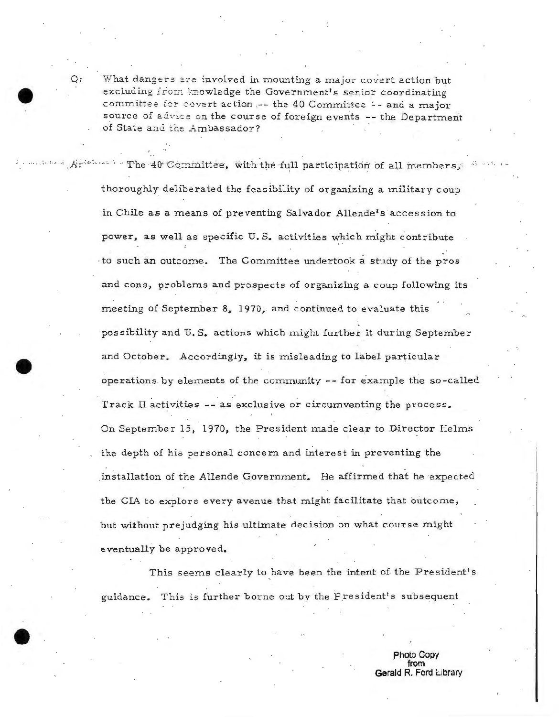What dangers are involved in mounting a major covert action but excluding from knowledge the Government's senior coordinating committee for covert action .-- the 40 Committee -- and a major source of advice on the course of foreign events -- the Department of State and the Ambassador?

The 40 Committee, with the full participation of all members. thoroughly deliberated the feasibility of organizing a military coup in Chile as a means of preventing Salvador Allende's accession to power, as well as specific U.S. activities which might contribute to such an outcome. The Committee undertook a study of the pros and cons, problems and prospects of organizing a coup following its meeting of September 8, 1970, and continued to evaluate this possibility and U.S. actions which might further it during September and October. Accordingly, it is misleading to label particular operations by elements of the community -- for example the so-called Track II activities -- as exclusive or circumventing the process. On September 15, 1970, the President made clear to Director Helms the depth of his personal concern and interest in preventing the installation of the Allende Government. He affirmed that he expected the CIA to explore every avenue that might facilitate that outcome, but without prejudging his ultimate decision on what course might eventually be approved.

This seems clearly to have been the intent of the President's guidance. This is further borne out by the President's subsequent

> Photo Copy from Gerald R. Ford Library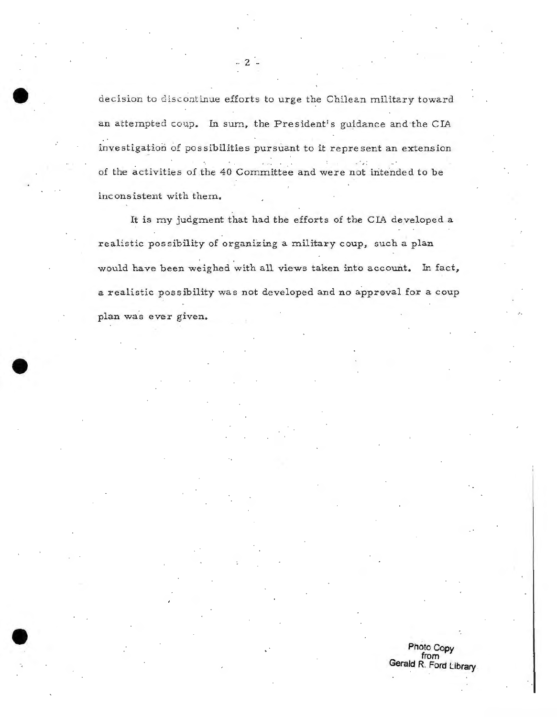decision to discontinue efforts to urge the Chilean military toward an attempted coup. In sum, the President's guidance and the CIA investigation of possibilities pursuant to it represent an extension of the activities of the 40 Committee and were not intended to be inconsistent with them.

It is my judgment that had the efforts of the CIA developed a realistic possibility of organizing a military coup, such a plan would have been weighed with all views taken into account. In fact, a realistic possibility was not developed and no approval for a coup plan was ever given.

**Photo Copy**<br>from<br>Gerald R. Ford Library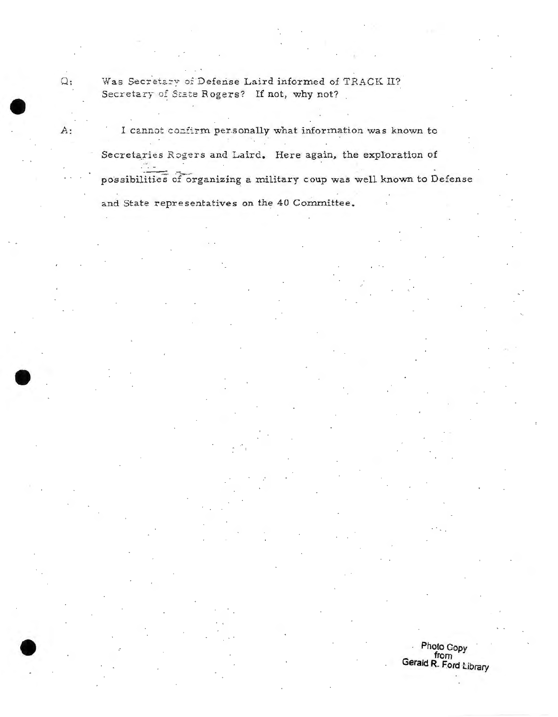Was Secretary of Defense Laird informed of TRACK II? Secretary of State Rogers? If not, why not?

I cannot confirm personally what information was known to Secretaries Rogers and Laird. Here again, the exploration of possibilities of organizing a military coup was well known to Defense and State representatives on the 40 Committee.

> Photo Copy Gerald R. Ford Library

 $Q:$ 

A: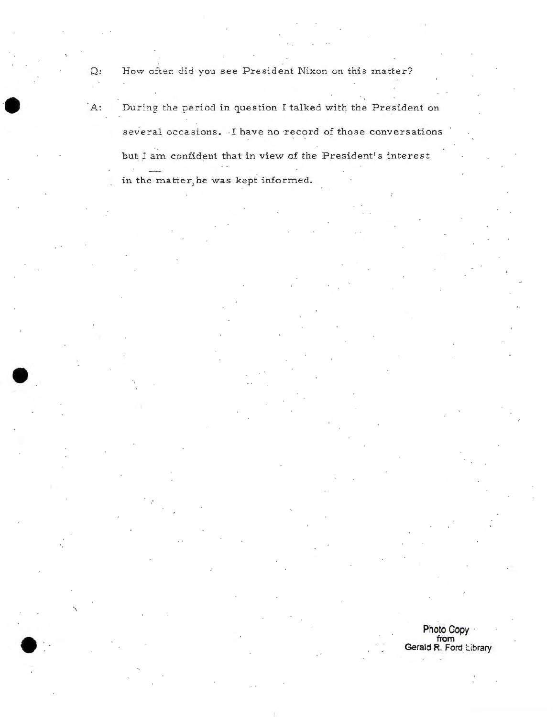How often did you see President Nixon on this matter?

 $\Omega$ :

 $A$ :

During the period in question I talked with the President on several occasions. I have no record of those conversations but I am confident that in view of the President's interest in the matter, he was kept informed.

> Photo Copy from<br>Gerald R. Ford Library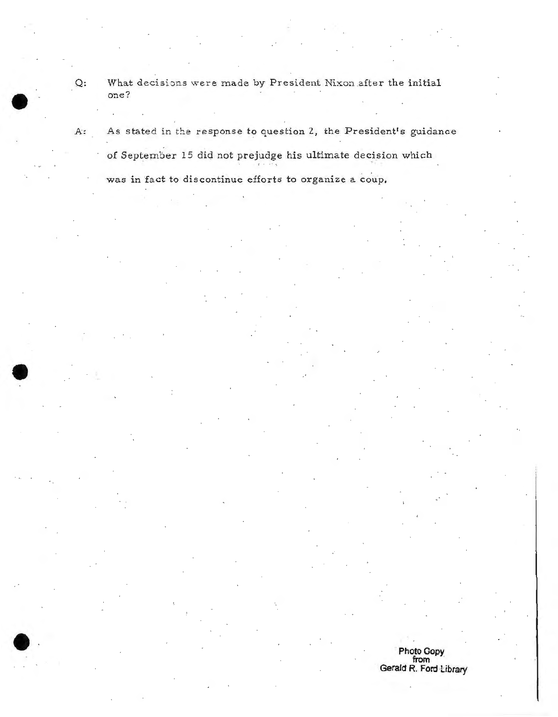Q: What decisions were made by President Nixon after the initial one?

A: As stated in the response to question 2, the President's guidance of September 15 did not prejudge his ultimate decision which was in fact to discontinue efforts to organize a coup.

> **Photo Oopy from** · **Gerald R. Ford Library**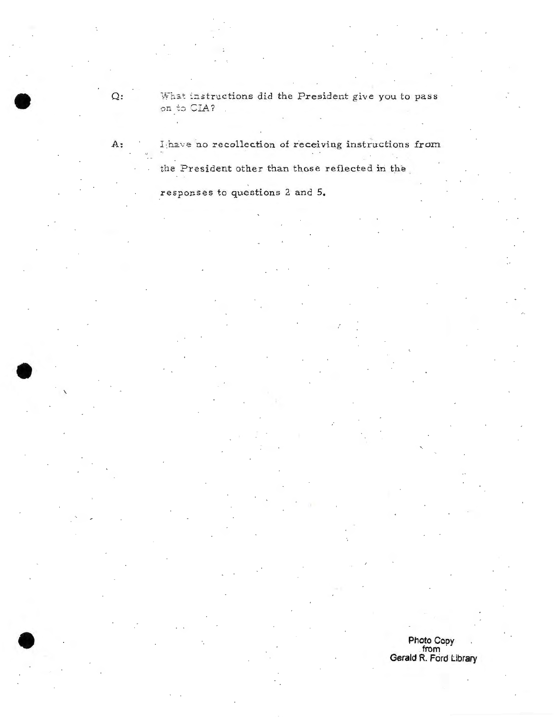What instructions did the President give you to pass on to CIA?

I have no recollection of receiving instructions from A:

the President other than those reflected in the

responses to questions 2 and 5.

 $\Omega$ :

Photo Copy from<br>Gerald R. Ford Library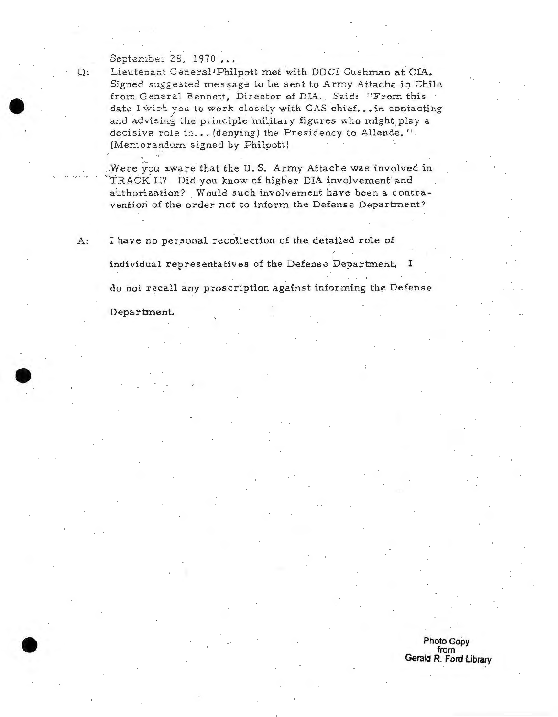## September 28, 1970 ...

Q: Lieutenant General<sup>1</sup>Philpott met with DDCI Cushman at CIA. Signed suggested message to be sent to Army Attache in Chile from General Bennett, Director of DIA. Said: "From this date I wish you to work closely with CAS chief... in contacting and advising the principle military figures who might play a decisive role in... (denying) the Presidency to Allende.". (Memorandum signed by Philpott)

Were you aware that the U.S. Army Attache was involved in TRACK II? Did you know of higher DIA involvement and authorization? Would such involvement have been a contravention of the order not to inform the Defense Department?

A: I have no personal recollection of the detailed role of individual representatives of the Defense Department. I

do not recall any proscription against informing the Defense

Department.

## **Photo Copy from** Gerald R. Ford Library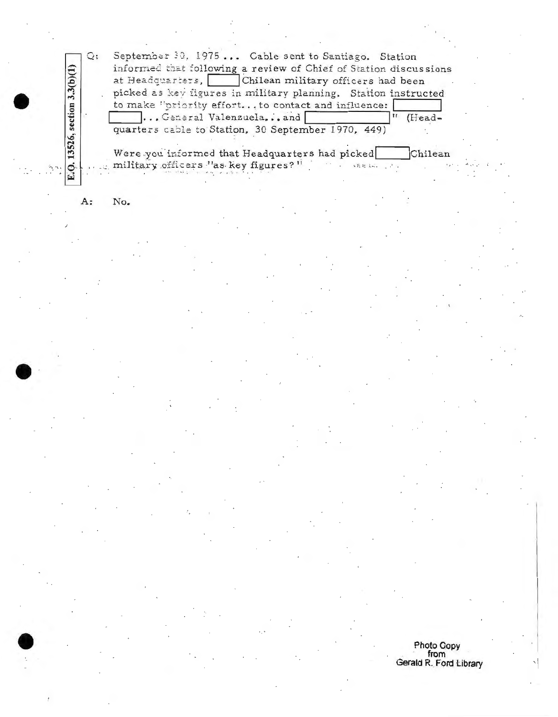$Q:$ September 30, 1975... Cable sent to Santiago. Station informed that following a review of Chief of Station discussions at Headquarters, Chilean military officers had been picked as key figures in military planning. Station instructed to make "priority effort... to contact and influence: ... General Valenzuela... and (Headquarters cable to Station, 30 September 1970, 449)

Were you informed that Headquarters had picked Chilean military officers "as key figures?"

A: No.

E.Q. 13526, section 3.3(b)(1)

Photo Copy from<br>Gerald R. Ford Library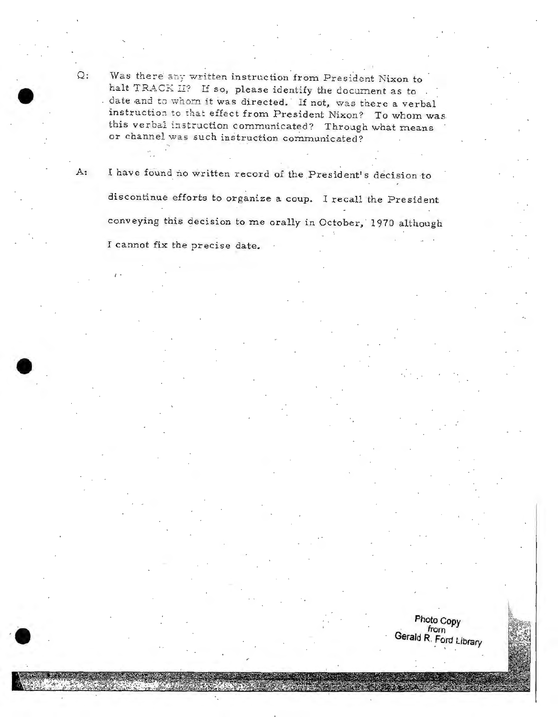Was there any written instruction from President Nixon to halt TRACK II? If so, please identify the document as to. date and to whom it was directed. If not, was there a verbal instruction to that effect from President Nixon? To whom was this verbal instruction communicated? Through what means or channel was such instruction communicated?

I have found no written record of the President's decision to discontinue efforts to organize a coup. I recall the President conveying this decision to me orally in October, 1970 although I cannot fix the precise date.

> Photo Copy from Gerald R. Ford Library

 $\mathsf{Q}$ :

А: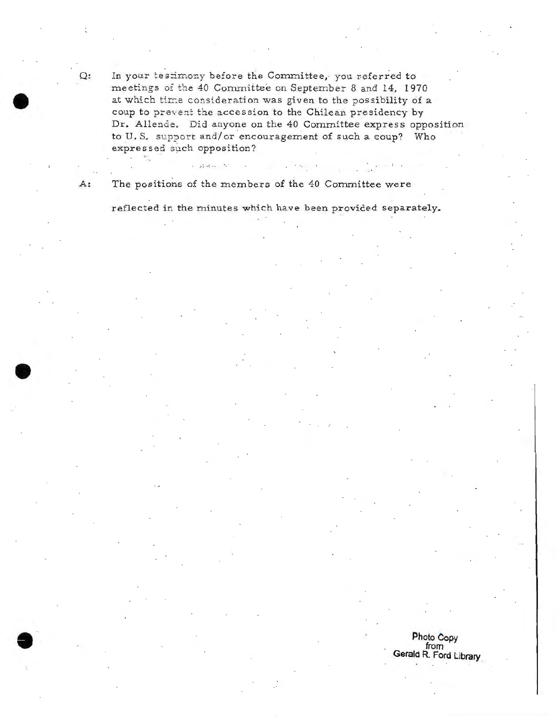Q: In your testimony before the Committee, you referred to meetings of the 40 Committee on September 8 and 14, 1970 at which time consideration was given to the possibility of a coup to prevent the accession to the Chilean presidency by Dr. Allende. Did anyone on the 40 Committee express opposition to U.S. support and/ or encouragement of such a coup? Who expressed such opposition?

A: The positions of the members of the 40 Committee were

 $\label{eq:1.1} \mathbb{E}\left[\left\| \rho\right\|_{\mathcal{H}}\right] \left\| \rho\right\|_{\mathcal{H}}\leq \mathbb{E}\left[\left\| \rho\right\|_{\mathcal{H}}\right]$ 

reflected in the minutes which have been provided separately.

Photo Copy<br>from Gerald R. Ford Library.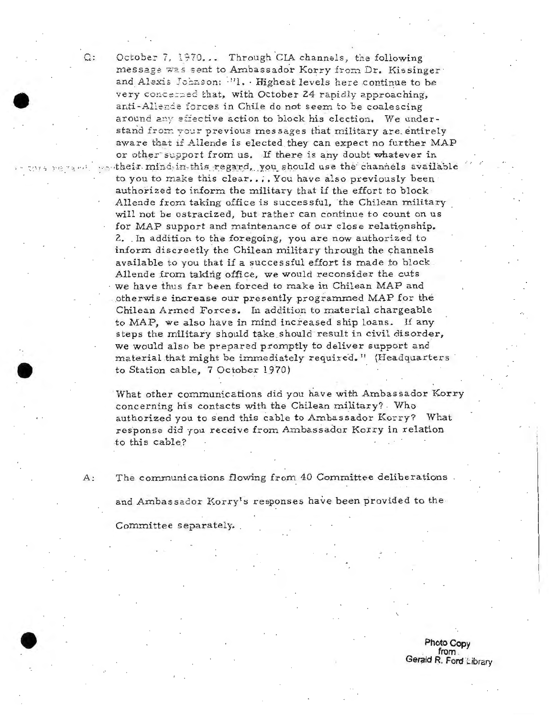October 7, 1970... Through CIA channels, the following message was sent to Ambassador Korry from Dr. Kissinger and Alexis Johnson: "I. . Highest levels here continue to be very concerned that, with October 24 rapidly approaching, anti-Allende forces in Chile do not seem to be coalescing around any effective action to block his election. We understand from your previous messages that military are entirely aware that if Allende is elected they can expect no further MAP or other support from us. If there is any doubt whatever in ... their mind in this regard, you should use the channels available to you to make this clear.... You have also previously been authorized to inform the military that if the effort to block. Allende from taking office is successful, the Chilean military will not be ostracized, but rather can continue to count on us for MAP support and maintenance of our close relationship. 2. In addition to the foregoing, you are now authorized to inform discreetly the Chilean military through the channels available to you that if a successful effort is made to block. Allende from taking office, we would reconsider the cuts we have thus far been forced to make in Chilean MAP and otherwise increase our presently programmed MAP for the Chilean Armed Forces. In addition to material chargeable to MAP, we also have in mind increased ship loans. If any steps the military should take should result in civil disorder, we would also be prepared promptly to deliver support and material that might be immediately required." (Headquarters to Station cable, 7 October 1970)

What other communications did you have with Ambassador Korry concerning his contacts with the Chilean military? Who authorized you to send this cable to Ambassador Korry? What response did you receive from Ambassador Korry in relation to this cable?

The communications flowing from 40 Committee deliberations

and Ambassador Korry's responses have been provided to the

Committee separately.

Photo Copy from Gerald R. Ford Library

 $A$ :

Q:

sya perandi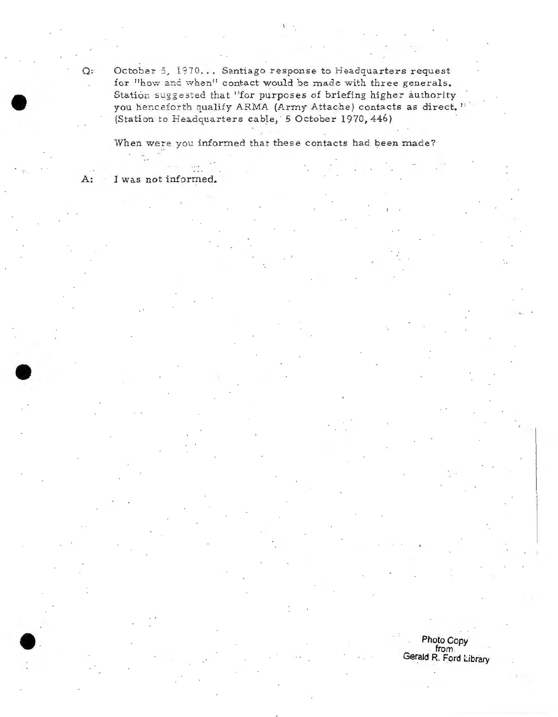Q: October 5, 1970... Santiago response to Headquarters request for "how and when" contact would be made with three generals. Station suggested that "for purposes of briefing higher authority you henceforth qualify ARMA (Army Attache) contacts as direct. " (Station to Headquarters cable, 5 October 1970, 446)

When were you informed that these contacts had been made?

A: I was not informed.

Photo Copy from from Gerald R. Ford Library . I